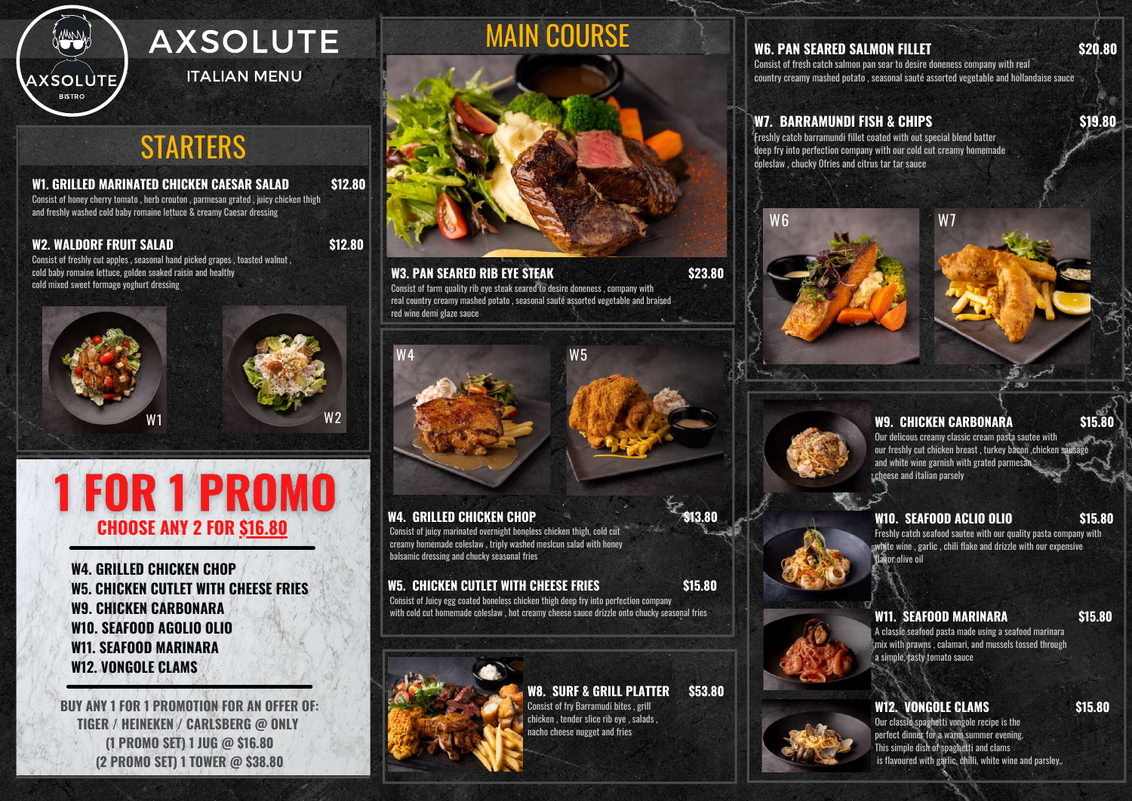

## **W1. GRILLED MARINATED CHICKEN CAESAR SALAD \$12.80**

Consist of honey cherry tomato , herb crouton , parmesan grated , juicy chicken thigh and freshly washed cold baby romaine lettuce & creamy Caesar dressing

## **W2. WALDORF FRUIT SALAD \$12.80**

Consist of freshly cut apples , seasonal hand picked grapes , toasted walnut , cold baby romaine lettuce, golden soaked raisin and healthy cold mixed sweet formage yoghurt dressing

W2

**W4. GRILLED CHICKEN CHOP \$13.80**

Consist of juicy marinated overnight boneless chicken thigh, cold cut creamy homemade coleslaw , triply washed meslcun salad with honey balsamic dressing and chucky seasonal fries

# **W5. CHICKEN CUTLET WITH CHEESE FRIES \$15.80**

Consist of Juicy egg coated boneless chicken thigh deep fry into perfection company with cold cut homemade coleslaw , hot creamy cheese sauce drizzle onto chucky seasonal fries





## **W3. PAN SEARED RIB EYE STEAK \$23.80**

 $W4$  W5

Consist of farm quality rib eye steak seared to desire doneness , company with real country creamy mashed potato , seasonal sauté assorted vegetable and braised red wine demi glaze sauce

# MAIN COURSE



# **W6. PAN SEARED SALMON FILLET \$20.80**

# **1 FOR 1 PROMO CHOOSE ANY 2 FOR \$16.80**

Consist of fresh catch salmon pan sear to desire doneness company with real country creamy mashed potato , seasonal sauté assorted vegetable and hollandaise sauce

# **W7. BARRAMUNDI FISH & CHIPS \$19.80**

Freshly catch barramundi fillet coated with out special blend batter deep fry into perfection company with our cold cut creamy homemade coleslaw , chucky 0fries and citrus tar tar sauce







# **W9. CHICKEN CARBONARA \$15.80**

Our delicous creamy classic cream pasta sautee with our freshly cut chicken breast , turkey bacon ,chicken sausage and white wine garnish with grated parmesan cheese and italian parsely

### **W10. SEAFOOD ACLIO OLIO \$15.80**

Freshly catch seafood sautee with our quality pasta company with white wine , garlic , chili flake and drizzle with our expensive flavor olive oil

### **W11. SEAFOOD MARINARA \$15.80**

A classic seafood pasta made using a seafood marinara mix with prawns , calamari, and mussels tossed through a simple, tasty tomato sauce

### **W12. VONGOLE CLAMS \$15.80**

Our classic spaghetti vongole recipe is the perfect dinner for a warm summer evening. This simple dish of spaghetti and clams is flavoured with garlic, chilli, white wine and parsley,.

# AXSOLUTE

ITALIAN MENU

# **STARTERS**

**W4. GRILLED CHICKEN CHOP W5. CHICKEN CUTLET WITH CHEESE FRIES W9. CHICKEN CARBONARA W10. SEAFOOD AGOLIO OLIO W11. SEAFOOD MARINARA W12. VONGOLE CLAMS**

**BUY ANY 1 FOR 1 PROMOTION FOR AN OFFER OF: TIGER / HEINEKEN / CARLSBERG @ ONLY (1 PROMO SET) 1 JUG @ \$16.80 (2 PROMO SET) 1 TOWER @ \$38.80**

## **W8. SURF & GRILL PLATTER \$53.80**

Consist of fry Barramudi bites , grill chicken , tender slice rib eye , salads , nacho cheese nugget and fries